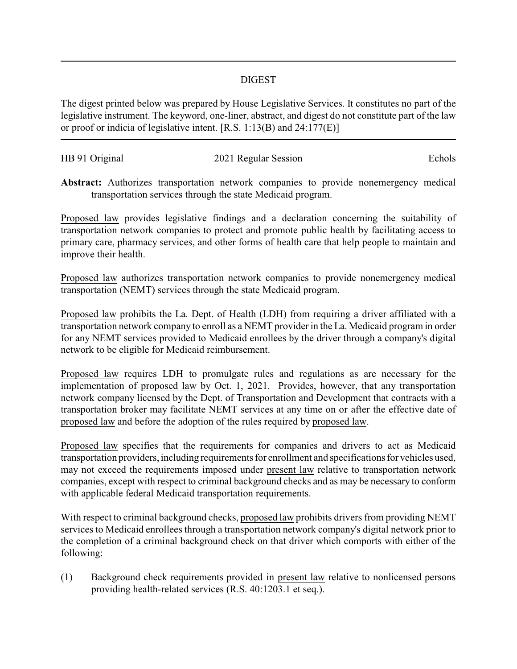## DIGEST

The digest printed below was prepared by House Legislative Services. It constitutes no part of the legislative instrument. The keyword, one-liner, abstract, and digest do not constitute part of the law or proof or indicia of legislative intent. [R.S. 1:13(B) and 24:177(E)]

| HB 91 Original | 2021 Regular Session | Echols |
|----------------|----------------------|--------|
|                |                      |        |

**Abstract:** Authorizes transportation network companies to provide nonemergency medical transportation services through the state Medicaid program.

Proposed law provides legislative findings and a declaration concerning the suitability of transportation network companies to protect and promote public health by facilitating access to primary care, pharmacy services, and other forms of health care that help people to maintain and improve their health.

Proposed law authorizes transportation network companies to provide nonemergency medical transportation (NEMT) services through the state Medicaid program.

Proposed law prohibits the La. Dept. of Health (LDH) from requiring a driver affiliated with a transportation network company to enroll as a NEMT provider in the La. Medicaid program in order for any NEMT services provided to Medicaid enrollees by the driver through a company's digital network to be eligible for Medicaid reimbursement.

Proposed law requires LDH to promulgate rules and regulations as are necessary for the implementation of proposed law by Oct. 1, 2021. Provides, however, that any transportation network company licensed by the Dept. of Transportation and Development that contracts with a transportation broker may facilitate NEMT services at any time on or after the effective date of proposed law and before the adoption of the rules required by proposed law.

Proposed law specifies that the requirements for companies and drivers to act as Medicaid transportation providers, including requirements for enrollment and specifications for vehicles used, may not exceed the requirements imposed under present law relative to transportation network companies, except with respect to criminal background checks and as may be necessary to conform with applicable federal Medicaid transportation requirements.

With respect to criminal background checks, proposed law prohibits drivers from providing NEMT services to Medicaid enrollees through a transportation network company's digital network prior to the completion of a criminal background check on that driver which comports with either of the following:

(1) Background check requirements provided in present law relative to nonlicensed persons providing health-related services (R.S. 40:1203.1 et seq.).